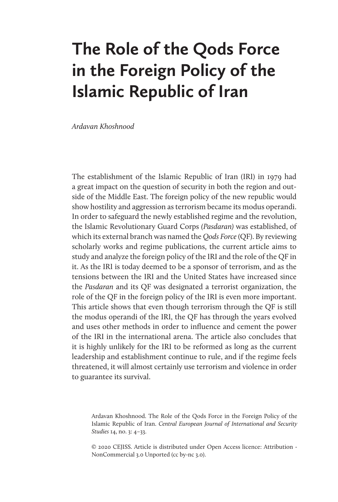# **The Role of the Qods Force in the Foreign Policy of the Islamic Republic of Iran**

*Ardavan Khoshnood*

The establishment of the Islamic Republic of Iran (IRI) in 1979 had a great impact on the question of security in both the region and outside of the Middle East. The foreign policy of the new republic would show hostility and aggression as terrorism became its modus operandi. In order to safeguard the newly established regime and the revolution, the Islamic Revolutionary Guard Corps *(Pasdaran)* was established, of which its external branch was named the *Qods Force* (QF). By reviewing scholarly works and regime publications, the current article aims to study and analyze the foreign policy of the IRI and the role of the QF in it. As the IRI is today deemed to be a sponsor of terrorism, and as the tensions between the IRI and the United States have increased since the *Pasdaran* and its QF was designated a terrorist organization, the role of the QF in the foreign policy of the IRI is even more important. This article shows that even though terrorism through the QF is still the modus operandi of the IRI, the QF has through the years evolved and uses other methods in order to influence and cement the power of the IRI in the international arena. The article also concludes that it is highly unlikely for the IRI to be reformed as long as the current leadership and establishment continue to rule, and if the regime feels threatened, it will almost certainly use terrorism and violence in order to guarantee its survival.

Ardavan Khoshnood. The Role of the Qods Force in the Foreign Policy of the Islamic Republic of Iran. *Central European Journal of International and Security Studies* 14, no. 3: 4–33.

© 2020 CEJISS. Article is distributed under Open Access licence: Attribution - NonCommercial 3.0 Unported (cc by-nc 3.0).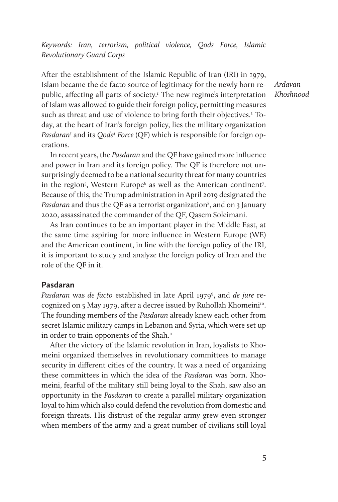*Keywords: Iran, terrorism, political violence, Qods Force, Islamic Revolutionary Guard Corps*

After the establishment of the Islamic Republic of Iran (IRI) in 1979, Islam became the de facto source of legitimacy for the newly born republic, affecting all parts of society.<sup>1</sup> The new regime's interpretation of Islam was allowed to guide their foreign policy, permitting measures such as threat and use of violence to bring forth their objectives.<sup>2</sup> Today, at the heart of Iran's foreign policy, lies the military organization Pasdaran<sup>3</sup> and its Qods<sup>4</sup> Force (QF) which is responsible for foreign operations.

*Ardavan Khoshnood*

In recent years, the *Pasdaran* and the QF have gained more influence and power in Iran and its foreign policy. The QF is therefore not unsurprisingly deemed to be a national security threat for many countries in the region<sup>5</sup>, Western Europe<sup>6</sup> as well as the American continent<sup>7</sup>. Because of this, the Trump administration in April 2019 designated the Pasdaran and thus the QF as a terrorist organization<sup>8</sup>, and on 3 January 2020, assassinated the commander of the QF, Qasem Soleimani.

As Iran continues to be an important player in the Middle East, at the same time aspiring for more influence in Western Europe (WE) and the American continent, in line with the foreign policy of the IRI, it is important to study and analyze the foreign policy of Iran and the role of the QF in it.

## **Pasdaran**

*Pasdaran* was *de facto* established in late April 19799 , and *de jure* recognized on 5 May 1979, after a decree issued by Ruhollah Khomeini<sup>10</sup>. The founding members of the *Pasdaran* already knew each other from secret Islamic military camps in Lebanon and Syria, which were set up in order to train opponents of the Shah.<sup>11</sup>

After the victory of the Islamic revolution in Iran, loyalists to Khomeini organized themselves in revolutionary committees to manage security in different cities of the country. It was a need of organizing these committees in which the idea of the *Pasdaran* was born. Khomeini, fearful of the military still being loyal to the Shah, saw also an opportunity in the *Pasdaran* to create a parallel military organization loyal to him which also could defend the revolution from domestic and foreign threats. His distrust of the regular army grew even stronger when members of the army and a great number of civilians still loyal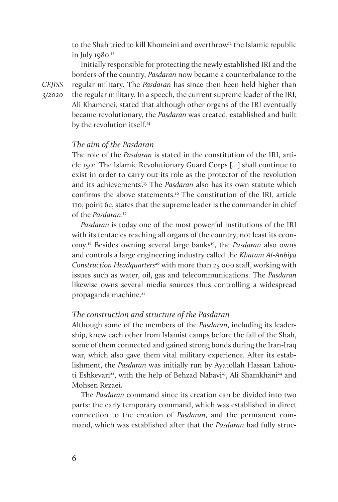to the Shah tried to kill Khomeini and overthrow<sup>12</sup> the Islamic republic in July 1980.13

Initially responsible for protecting the newly established IRI and the borders of the country, *Pasdaran* now became a counterbalance to the regular military. The *Pasdaran* has since then been held higher than the regular military. In a speech, the current supreme leader of the IRI, Ali Khamenei, stated that although other organs of the IRI eventually became revolutionary, the *Pasdaran* was created, established and built by the revolution itself.<sup>14</sup>

## *The aim of the Pasdaran*

The role of the *Pasdaran* is stated in the constitution of the IRI, article 150: 'The Islamic Revolutionary Guard Corps […] shall continue to exist in order to carry out its role as the protector of the revolution and its achievements'.15 The *Pasdaran* also has its own statute which confirms the above statements.16 The constitution of the IRI, article 110, point 6e, states that the supreme leader is the commander in chief of the *Pasdaran*. 17

*Pasdaran* is today one of the most powerful institutions of the IRI with its tentacles reaching all organs of the country, not least its economy.18 Besides owning several large banks19, the *Pasdaran* also owns and controls a large engineering industry called the *Khatam Al-Anbiya Construction Headquarters*20 with more than 25 000 staff, working with issues such as water, oil, gas and telecommunications. The *Pasdaran* likewise owns several media sources thus controlling a widespread propaganda machine.<sup>21</sup>

## *The construction and structure of the Pasdaran*

Although some of the members of the *Pasdaran*, including its leadership, knew each other from Islamist camps before the fall of the Shah, some of them connected and gained strong bonds during the Iran-Iraq war, which also gave them vital military experience. After its establishment, the *Pasdaran* was initially run by Ayatollah Hassan Lahouti Eshkevari<sup>22</sup>, with the help of Behzad Nabavi<sup>23</sup>, Ali Shamkhani<sup>24</sup> and Mohsen Rezaei.

The *Pasdaran* command since its creation can be divided into two parts: the early temporary command, which was established in direct connection to the creation of *Pasdaran*, and the permanent command, which was established after that the *Pasdaran* had fully struc-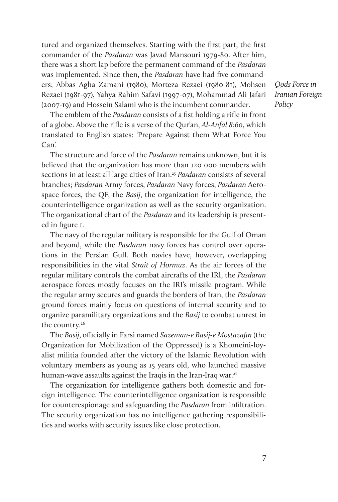tured and organized themselves. Starting with the first part, the first commander of the *Pasdaran* was Javad Mansouri 1979-80. After him, there was a short lap before the permanent command of the *Pasdaran* was implemented. Since then, the *Pasdaran* have had five commanders; Abbas Agha Zamani (1980), Morteza Rezaei (1980-81), Mohsen Rezaei (1981-97), Yahya Rahim Safavi (1997-07), Mohammad Ali Jafari (2007-19) and Hossein Salami who is the incumbent commander.

The emblem of the *Pasdaran* consists of a fist holding a rifle in front of a globe. Above the rifle is a verse of the Qur'an, *Al-Anfal 8:60*, which translated to English states: 'Prepare Against them What Force You Can'.

The structure and force of the *Pasdaran* remains unknown, but it is believed that the organization has more than 120 000 members with sections in at least all large cities of Iran.25 *Pasdaran* consists of several branches; *Pasdaran* Army forces, *Pasdaran* Navy forces, *Pasdaran* Aerospace forces, the QF, the *Basij*, the organization for intelligence, the counterintelligence organization as well as the security organization. The organizational chart of the *Pasdaran* and its leadership is presented in figure 1.

The navy of the regular military is responsible for the Gulf of Oman and beyond, while the *Pasdaran* navy forces has control over operations in the Persian Gulf. Both navies have, however, overlapping responsibilities in the vital *Strait of Hormuz*. As the air forces of the regular military controls the combat aircrafts of the IRI, the *Pasdaran* aerospace forces mostly focuses on the IRI's missile program. While the regular army secures and guards the borders of Iran, the *Pasdaran* ground forces mainly focus on questions of internal security and to organize paramilitary organizations and the *Basij* to combat unrest in the country.<sup>26</sup>

The *Basij*, officially in Farsi named *Sazeman-e Basij-e Mostazafin* (the Organization for Mobilization of the Oppressed) is a Khomeini-loyalist militia founded after the victory of the Islamic Revolution with voluntary members as young as 15 years old, who launched massive human-wave assaults against the Iraqis in the Iran-Iraq war.<sup>27</sup>

The organization for intelligence gathers both domestic and foreign intelligence. The counterintelligence organization is responsible for counterespionage and safeguarding the *Pasdaran* from infiltration. The security organization has no intelligence gathering responsibilities and works with security issues like close protection.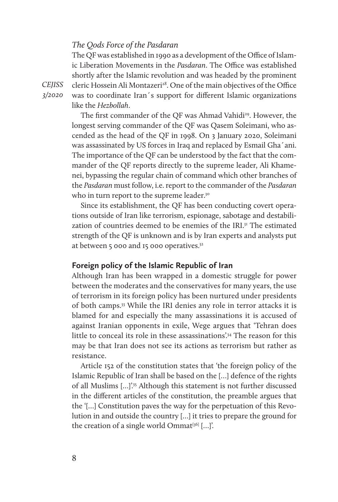## *The Qods Force of the Pasdaran*

The QF was established in 1990 as a development of the Office of Islamic Liberation Movements in the *Pasdaran*. The Office was established shortly after the Islamic revolution and was headed by the prominent cleric Hossein Ali Montazeri<sup>28</sup>. One of the main objectives of the Office was to coordinate Iran´s support for different Islamic organizations like the *Hezbollah*.

The first commander of the OF was Ahmad Vahidi<sup>29</sup>. However, the longest serving commander of the QF was Qasem Soleimani, who ascended as the head of the QF in 1998. On 3 January 2020, Soleimani was assassinated by US forces in Iraq and replaced by Esmail Gha´ani. The importance of the QF can be understood by the fact that the commander of the QF reports directly to the supreme leader, Ali Khamenei, bypassing the regular chain of command which other branches of the *Pasdaran* must follow, i.e. report to the commander of the *Pasdaran* who in turn report to the supreme leader.<sup>30</sup>

Since its establishment, the QF has been conducting covert operations outside of Iran like terrorism, espionage, sabotage and destabilization of countries deemed to be enemies of the IRL<sup>31</sup> The estimated strength of the QF is unknown and is by Iran experts and analysts put at between 5 000 and 15 000 operatives.<sup>32</sup>

## **Foreign policy of the Islamic Republic of Iran**

Although Iran has been wrapped in a domestic struggle for power between the moderates and the conservatives for many years, the use of terrorism in its foreign policy has been nurtured under presidents of both camps.33 While the IRI denies any role in terror attacks it is blamed for and especially the many assassinations it is accused of against Iranian opponents in exile, Wege argues that 'Tehran does little to conceal its role in these assassinations<sup>'34</sup> The reason for this may be that Iran does not see its actions as terrorism but rather as resistance.

Article 152 of the constitution states that 'the foreign policy of the Islamic Republic of Iran shall be based on the […] defence of the rights of all Muslims […]'.35 Although this statement is not further discussed in the different articles of the constitution, the preamble argues that the '[…] Constitution paves the way for the perpetuation of this Revolution in and outside the country […] it tries to prepare the ground for the creation of a single world Ommat<sup>[36]</sup> [...]'.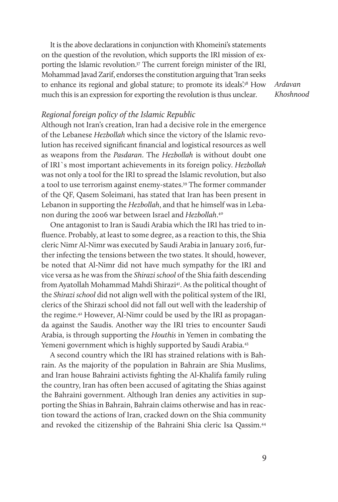It is the above declarations in conjunction with Khomeini's statements on the question of the revolution, which supports the IRI mission of exporting the Islamic revolution.<sup>37</sup> The current foreign minister of the IRI, Mohammad Javad Zarif, endorses the constitution arguing that 'Iran seeks to enhance its regional and global stature; to promote its ideals?<sup>38</sup> How much this is an expression for exporting the revolution is thus unclear.

*Ardavan Khoshnood*

# *Regional foreign policy of the Islamic Republic*

Although not Iran's creation, Iran had a decisive role in the emergence of the Lebanese *Hezbollah* which since the victory of the Islamic revolution has received significant financial and logistical resources as well as weapons from the *Pasdaran*. The *Hezbollah* is without doubt one of IRI`s most important achievements in its foreign policy. *Hezbollah* was not only a tool for the IRI to spread the Islamic revolution, but also a tool to use terrorism against enemy-states.<sup>39</sup> The former commander of the QF, Qasem Soleimani, has stated that Iran has been present in Lebanon in supporting the *Hezbollah*, and that he himself was in Lebanon during the 2006 war between Israel and *Hezbollah*. 40

One antagonist to Iran is Saudi Arabia which the IRI has tried to influence. Probably, at least to some degree, as a reaction to this, the Shia cleric Nimr Al-Nimr was executed by Saudi Arabia in January 2016, further infecting the tensions between the two states. It should, however, be noted that Al-Nimr did not have much sympathy for the IRI and vice versa as he was from the *Shirazi school* of the Shia faith descending from Ayatollah Mohammad Mahdi Shirazi<sup>41</sup>. As the political thought of the *Shirazi school* did not align well with the political system of the IRI, clerics of the Shirazi school did not fall out well with the leadership of the regime.42 However, Al-Nimr could be used by the IRI as propaganda against the Saudis. Another way the IRI tries to encounter Saudi Arabia, is through supporting the *Houthis* in Yemen in combating the Yemeni government which is highly supported by Saudi Arabia.43

A second country which the IRI has strained relations with is Bahrain. As the majority of the population in Bahrain are Shia Muslims, and Iran house Bahraini activists fighting the Al-Khalifa family ruling the country, Iran has often been accused of agitating the Shias against the Bahraini government. Although Iran denies any activities in supporting the Shias in Bahrain, Bahrain claims otherwise and has in reaction toward the actions of Iran, cracked down on the Shia community and revoked the citizenship of the Bahraini Shia cleric Isa Qassim.<sup>44</sup>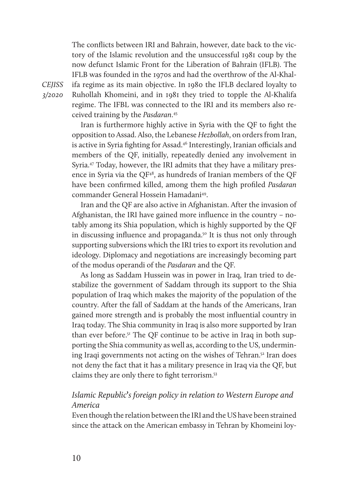The conflicts between IRI and Bahrain, however, date back to the victory of the Islamic revolution and the unsuccessful 1981 coup by the now defunct Islamic Front for the Liberation of Bahrain (IFLB). The IFLB was founded in the 1970s and had the overthrow of the Al-Khalifa regime as its main objective. In 1980 the IFLB declared loyalty to Ruhollah Khomeini, and in 1981 they tried to topple the Al-Khalifa regime. The IFBL was connected to the IRI and its members also received training by the *Pasdaran*. 45

Iran is furthermore highly active in Syria with the QF to fight the opposition to Assad. Also, the Lebanese *Hezbollah*, on orders from Iran, is active in Syria fighting for Assad.<sup>46</sup> Interestingly, Iranian officials and members of the QF, initially, repeatedly denied any involvement in Syria.47 Today, however, the IRI admits that they have a military presence in Syria via the QF48, as hundreds of Iranian members of the QF have been confirmed killed, among them the high profiled *Pasdaran* commander General Hossein Hamadani49.

Iran and the QF are also active in Afghanistan. After the invasion of Afghanistan, the IRI have gained more influence in the country – notably among its Shia population, which is highly supported by the QF in discussing influence and propaganda.<sup>50</sup> It is thus not only through supporting subversions which the IRI tries to export its revolution and ideology. Diplomacy and negotiations are increasingly becoming part of the modus operandi of the *Pasdaran* and the QF.

As long as Saddam Hussein was in power in Iraq, Iran tried to destabilize the government of Saddam through its support to the Shia population of Iraq which makes the majority of the population of the country. After the fall of Saddam at the hands of the Americans, Iran gained more strength and is probably the most influential country in Iraq today. The Shia community in Iraq is also more supported by Iran than ever before.<sup>51</sup> The QF continue to be active in Iraq in both supporting the Shia community as well as, according to the US, undermining Iraqi governments not acting on the wishes of Tehran.<sup>52</sup> Iran does not deny the fact that it has a military presence in Iraq via the QF, but claims they are only there to fight terrorism.53

# *Islamic Republic***'***s foreign policy in relation to Western Europe and America*

Even though the relation between the IRI and the US have been strained since the attack on the American embassy in Tehran by Khomeini loy-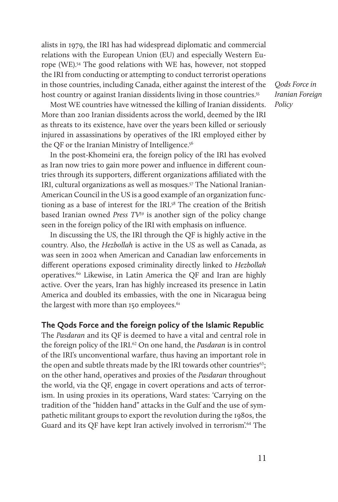alists in 1979, the IRI has had widespread diplomatic and commercial relations with the European Union (EU) and especially Western Europe (WE).54 The good relations with WE has, however, not stopped the IRI from conducting or attempting to conduct terrorist operations in those countries, including Canada, either against the interest of the host country or against Iranian dissidents living in those countries.<sup>55</sup>

Most WE countries have witnessed the killing of Iranian dissidents. More than 200 Iranian dissidents across the world, deemed by the IRI as threats to its existence, have over the years been killed or seriously injured in assassinations by operatives of the IRI employed either by the QF or the Iranian Ministry of Intelligence.<sup>56</sup>

In the post-Khomeini era, the foreign policy of the IRI has evolved as Iran now tries to gain more power and influence in different countries through its supporters, different organizations affiliated with the IRI, cultural organizations as well as mosques.57 The National Iranian-American Council in the US is a good example of an organization functioning as a base of interest for the IRI.<sup>58</sup> The creation of the British based Iranian owned *Press TV59* is another sign of the policy change seen in the foreign policy of the IRI with emphasis on influence.

In discussing the US, the IRI through the QF is highly active in the country. Also, the *Hezbollah* is active in the US as well as Canada, as was seen in 2002 when American and Canadian law enforcements in different operations exposed criminality directly linked to *Hezbollah* operatives.<sup>60</sup> Likewise, in Latin America the QF and Iran are highly active. Over the years, Iran has highly increased its presence in Latin America and doubled its embassies, with the one in Nicaragua being the largest with more than 150 employees. $61$ 

# **The Qods Force and the foreign policy of the Islamic Republic**

The *Pasdaran* and its QF is deemed to have a vital and central role in the foreign policy of the IRI.62 On one hand, the *Pasdaran* is in control of the IRI's unconventional warfare, thus having an important role in the open and subtle threats made by the IRI towards other countries $63$ ; on the other hand, operatives and proxies of the *Pasdaran* throughout the world, via the QF, engage in covert operations and acts of terrorism. In using proxies in its operations, Ward states: 'Carrying on the tradition of the "hidden hand" attacks in the Gulf and the use of sympathetic militant groups to export the revolution during the 1980s, the Guard and its QF have kept Iran actively involved in terrorism'.<sup>64</sup> The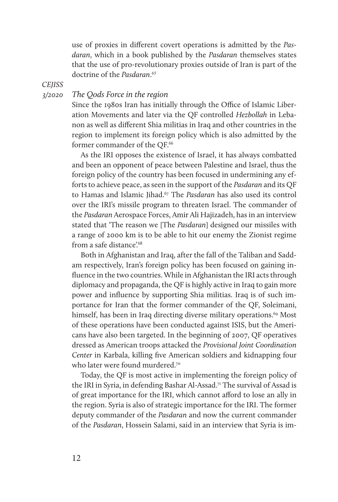use of proxies in different covert operations is admitted by the *Pasdaran*, which in a book published by the *Pasdaran* themselves states that the use of pro-revolutionary proxies outside of Iran is part of the doctrine of the *Pasdaran*. 65

*CEJISS* 

*3/2020* 

# *The Qods Force in the region*

Since the 1980s Iran has initially through the Office of Islamic Liberation Movements and later via the QF controlled *Hezbollah* in Lebanon as well as different Shia militias in Iraq and other countries in the region to implement its foreign policy which is also admitted by the former commander of the OF.<sup>66</sup>

As the IRI opposes the existence of Israel, it has always combatted and been an opponent of peace between Palestine and Israel, thus the foreign policy of the country has been focused in undermining any efforts to achieve peace, as seen in the support of the *Pasdaran* and its QF to Hamas and Islamic Jihad.67 The *Pasdaran* has also used its control over the IRI's missile program to threaten Israel. The commander of the *Pasdaran* Aerospace Forces, Amir Ali Hajizadeh, has in an interview stated that 'The reason we [The *Pasdaran*] designed our missiles with a range of 2000 km is to be able to hit our enemy the Zionist regime from a safe distance'.<sup>68</sup>

Both in Afghanistan and Iraq, after the fall of the Taliban and Saddam respectively, Iran's foreign policy has been focused on gaining influence in the two countries. While in Afghanistan the IRI acts through diplomacy and propaganda, the QF is highly active in Iraq to gain more power and influence by supporting Shia militias. Iraq is of such importance for Iran that the former commander of the QF, Soleimani, himself, has been in Iraq directing diverse military operations.<sup>69</sup> Most of these operations have been conducted against ISIS, but the Americans have also been targeted. In the beginning of 2007, QF operatives dressed as American troops attacked the *Provisional Joint Coordination Center* in Karbala, killing five American soldiers and kidnapping four who later were found murdered.<sup>70</sup>

Today, the QF is most active in implementing the foreign policy of the IRI in Syria, in defending Bashar Al-Assad.71 The survival of Assad is of great importance for the IRI, which cannot afford to lose an ally in the region. Syria is also of strategic importance for the IRI. The former deputy commander of the *Pasdaran* and now the current commander of the *Pasdaran*, Hossein Salami, said in an interview that Syria is im-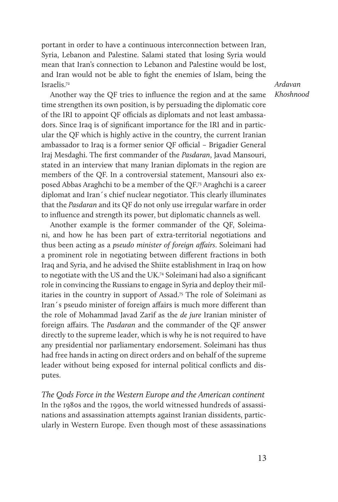portant in order to have a continuous interconnection between Iran, Syria, Lebanon and Palestine. Salami stated that losing Syria would mean that Iran's connection to Lebanon and Palestine would be lost, and Iran would not be able to fight the enemies of Islam, being the Israelis.72

*Ardavan Khoshnood*

Another way the QF tries to influence the region and at the same time strengthen its own position, is by persuading the diplomatic core of the IRI to appoint QF officials as diplomats and not least ambassadors. Since Iraq is of significant importance for the IRI and in particular the QF which is highly active in the country, the current Iranian ambassador to Iraq is a former senior QF official – Brigadier General Iraj Mesdaghi. The first commander of the *Pasdaran*, Javad Mansouri, stated in an interview that many Iranian diplomats in the region are members of the QF. In a controversial statement, Mansouri also exposed Abbas Araghchi to be a member of the QF.73 Araghchi is a career diplomat and Iran´s chief nuclear negotiator. This clearly illuminates that the *Pasdaran* and its QF do not only use irregular warfare in order to influence and strength its power, but diplomatic channels as well.

Another example is the former commander of the QF, Soleimani, and how he has been part of extra-territorial negotiations and thus been acting as a *pseudo minister of foreign affairs*. Soleimani had a prominent role in negotiating between different fractions in both Iraq and Syria, and he advised the Shiite establishment in Iraq on how to negotiate with the US and the UK.74 Soleimani had also a significant role in convincing the Russians to engage in Syria and deploy their militaries in the country in support of Assad.75 The role of Soleimani as Iran´s pseudo minister of foreign affairs is much more different than the role of Mohammad Javad Zarif as the *de jure* Iranian minister of foreign affairs. The *Pasdaran* and the commander of the QF answer directly to the supreme leader, which is why he is not required to have any presidential nor parliamentary endorsement. Soleimani has thus had free hands in acting on direct orders and on behalf of the supreme leader without being exposed for internal political conflicts and disputes.

*The Qods Force in the Western Europe and the American continent* In the 1980s and the 1990s, the world witnessed hundreds of assassinations and assassination attempts against Iranian dissidents, particularly in Western Europe. Even though most of these assassinations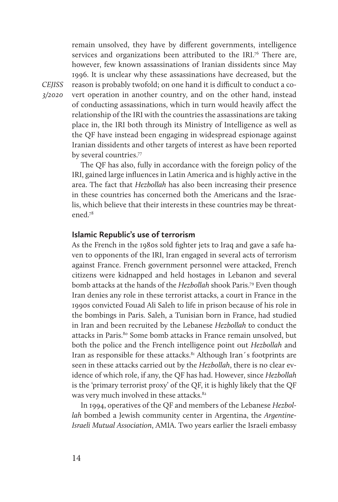remain unsolved, they have by different governments, intelligence services and organizations been attributed to the IRI.<sup>76</sup> There are, however, few known assassinations of Iranian dissidents since May 1996. It is unclear why these assassinations have decreased, but the reason is probably twofold; on one hand it is difficult to conduct a covert operation in another country, and on the other hand, instead of conducting assassinations, which in turn would heavily affect the relationship of the IRI with the countries the assassinations are taking place in, the IRI both through its Ministry of Intelligence as well as the QF have instead been engaging in widespread espionage against Iranian dissidents and other targets of interest as have been reported by several countries.77

The QF has also, fully in accordance with the foreign policy of the IRI, gained large influences in Latin America and is highly active in the area. The fact that *Hezbollah* has also been increasing their presence in these countries has concerned both the Americans and the Israelis, which believe that their interests in these countries may be threatened.78

## **Islamic Republic's use of terrorism**

As the French in the 1980s sold fighter jets to Iraq and gave a safe haven to opponents of the IRI, Iran engaged in several acts of terrorism against France. French government personnel were attacked, French citizens were kidnapped and held hostages in Lebanon and several bomb attacks at the hands of the *Hezbollah* shook Paris.79 Even though Iran denies any role in these terrorist attacks, a court in France in the 1990s convicted Fouad Ali Saleh to life in prison because of his role in the bombings in Paris. Saleh, a Tunisian born in France, had studied in Iran and been recruited by the Lebanese *Hezbollah* to conduct the attacks in Paris.<sup>80</sup> Some bomb attacks in France remain unsolved, but both the police and the French intelligence point out *Hezbollah* and Iran as responsible for these attacks.<sup>81</sup> Although Iran's footprints are seen in these attacks carried out by the *Hezbollah*, there is no clear evidence of which role, if any, the QF has had. However, since *Hezbollah* is the 'primary terrorist proxy' of the QF, it is highly likely that the QF was very much involved in these attacks.<sup>82</sup>

In 1994, operatives of the QF and members of the Lebanese *Hezbollah* bombed a Jewish community center in Argentina, the *Argentine-Israeli Mutual Association*, AMIA. Two years earlier the Israeli embassy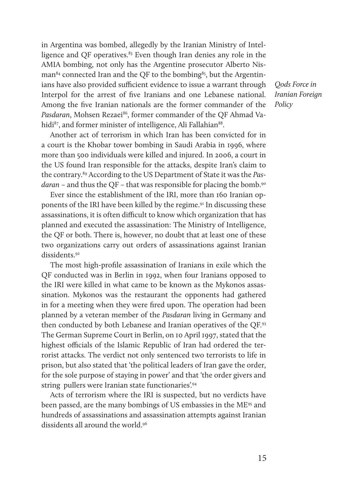in Argentina was bombed, allegedly by the Iranian Ministry of Intelligence and OF operatives.<sup>83</sup> Even though Iran denies any role in the AMIA bombing, not only has the Argentine prosecutor Alberto Nis $man<sup>84</sup>$  connected Iran and the OF to the bombing<sup>85</sup>, but the Argentinians have also provided sufficient evidence to issue a warrant through Interpol for the arrest of five Iranians and one Lebanese national. Among the five Iranian nationals are the former commander of the Pasdaran, Mohsen Rezaei<sup>86</sup>, former commander of the OF Ahmad Vahidi<sup>87</sup>, and former minister of intelligence, Ali Fallahian<sup>88</sup>.

Another act of terrorism in which Iran has been convicted for in a court is the Khobar tower bombing in Saudi Arabia in 1996, where more than 500 individuals were killed and injured. In 2006, a court in the US found Iran responsible for the attacks, despite Iran's claim to the contrary.89 According to the US Department of State it was the *Pasdaran* – and thus the QF – that was responsible for placing the bomb.<sup>90</sup>

Ever since the establishment of the IRI, more than 160 Iranian opponents of the IRI have been killed by the regime.<sup>91</sup> In discussing these assassinations, it is often difficult to know which organization that has planned and executed the assassination: The Ministry of Intelligence, the QF or both. There is, however, no doubt that at least one of these two organizations carry out orders of assassinations against Iranian dissidents<sup>92</sup>

The most high-profile assassination of Iranians in exile which the QF conducted was in Berlin in 1992, when four Iranians opposed to the IRI were killed in what came to be known as the Mykonos assassination. Mykonos was the restaurant the opponents had gathered in for a meeting when they were fired upon. The operation had been planned by a veteran member of the *Pasdaran* living in Germany and then conducted by both Lebanese and Iranian operatives of the QF.93 The German Supreme Court in Berlin, on 10 April 1997, stated that the highest officials of the Islamic Republic of Iran had ordered the terrorist attacks. The verdict not only sentenced two terrorists to life in prison, but also stated that 'the political leaders of Iran gave the order, for the sole purpose of staying in power' and that 'the order givers and string pullers were Iranian state functionaries'.94

Acts of terrorism where the IRI is suspected, but no verdicts have been passed, are the many bombings of US embassies in the ME95 and hundreds of assassinations and assassination attempts against Iranian dissidents all around the world.96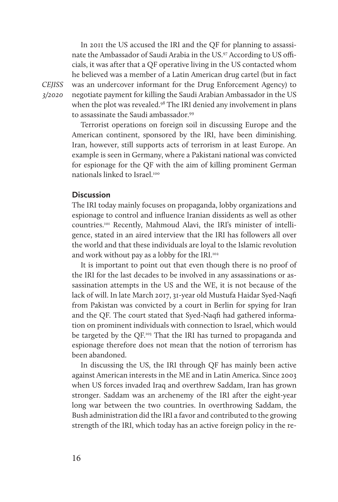In 2011 the US accused the IRI and the QF for planning to assassinate the Ambassador of Saudi Arabia in the US.97 According to US officials, it was after that a QF operative living in the US contacted whom he believed was a member of a Latin American drug cartel (but in fact was an undercover informant for the Drug Enforcement Agency) to negotiate payment for killing the Saudi Arabian Ambassador in the US when the plot was revealed.<sup>98</sup> The IRI denied any involvement in plans to assassinate the Saudi ambassador.<sup>99</sup>

Terrorist operations on foreign soil in discussing Europe and the American continent, sponsored by the IRI, have been diminishing. Iran, however, still supports acts of terrorism in at least Europe. An example is seen in Germany, where a Pakistani national was convicted for espionage for the QF with the aim of killing prominent German nationals linked to Israel.100

## **Discussion**

The IRI today mainly focuses on propaganda, lobby organizations and espionage to control and influence Iranian dissidents as well as other countries.101 Recently, Mahmoud Alavi, the IRI's minister of intelligence, stated in an aired interview that the IRI has followers all over the world and that these individuals are loyal to the Islamic revolution and work without pay as a lobby for the IRI.<sup>102</sup>

It is important to point out that even though there is no proof of the IRI for the last decades to be involved in any assassinations or assassination attempts in the US and the WE, it is not because of the lack of will. In late March 2017, 31-year old Mustufa Haidar Syed-Naqfi from Pakistan was convicted by a court in Berlin for spying for Iran and the QF. The court stated that Syed-Naqfi had gathered information on prominent individuals with connection to Israel, which would be targeted by the QF.<sup>103</sup> That the IRI has turned to propaganda and espionage therefore does not mean that the notion of terrorism has been abandoned.

In discussing the US, the IRI through QF has mainly been active against American interests in the ME and in Latin America. Since 2003 when US forces invaded Iraq and overthrew Saddam, Iran has grown stronger. Saddam was an archenemy of the IRI after the eight-year long war between the two countries. In overthrowing Saddam, the Bush administration did the IRI a favor and contributed to the growing strength of the IRI, which today has an active foreign policy in the re-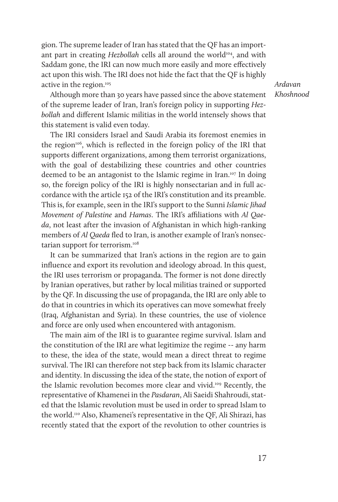gion. The supreme leader of Iran has stated that the QF has an important part in creating *Hezbollah* cells all around the world<sup>104</sup>, and with Saddam gone, the IRI can now much more easily and more effectively act upon this wish. The IRI does not hide the fact that the QF is highly active in the region.<sup>105</sup>

*Ardavan Khoshnood*

Although more than 30 years have passed since the above statement of the supreme leader of Iran, Iran's foreign policy in supporting *Hezbollah* and different Islamic militias in the world intensely shows that this statement is valid even today.

The IRI considers Israel and Saudi Arabia its foremost enemies in the region $1006$ , which is reflected in the foreign policy of the IRI that supports different organizations, among them terrorist organizations, with the goal of destabilizing these countries and other countries deemed to be an antagonist to the Islamic regime in Iran.107 In doing so, the foreign policy of the IRI is highly nonsectarian and in full accordance with the article 152 of the IRI's constitution and its preamble. This is, for example, seen in the IRI's support to the Sunni *Islamic Jihad Movement of Palestine* and *Hamas*. The IRI's affiliations with *Al Qaeda*, not least after the invasion of Afghanistan in which high-ranking members of *Al Qaeda* fled to Iran, is another example of Iran's nonsectarian support for terrorism.<sup>108</sup>

It can be summarized that Iran's actions in the region are to gain influence and export its revolution and ideology abroad. In this quest, the IRI uses terrorism or propaganda. The former is not done directly by Iranian operatives, but rather by local militias trained or supported by the QF. In discussing the use of propaganda, the IRI are only able to do that in countries in which its operatives can move somewhat freely (Iraq, Afghanistan and Syria). In these countries, the use of violence and force are only used when encountered with antagonism.

The main aim of the IRI is to guarantee regime survival. Islam and the constitution of the IRI are what legitimize the regime -- any harm to these, the idea of the state, would mean a direct threat to regime survival. The IRI can therefore not step back from its Islamic character and identity. In discussing the idea of the state, the notion of export of the Islamic revolution becomes more clear and vivid.<sup>109</sup> Recently, the representative of Khamenei in the *Pasdaran*, Ali Saeidi Shahroudi, stated that the Islamic revolution must be used in order to spread Islam to the world.110 Also, Khamenei's representative in the QF, Ali Shirazi, has recently stated that the export of the revolution to other countries is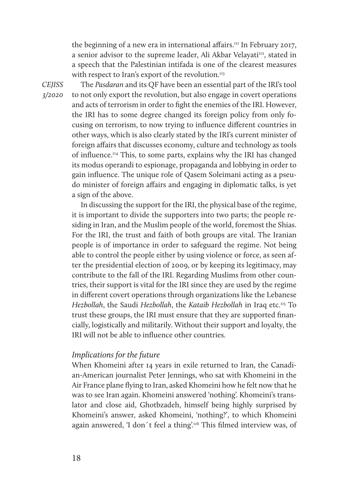the beginning of a new era in international affairs.<sup>111</sup> In February 2017, a senior advisor to the supreme leader, Ali Akbar Velayati<sup>112</sup>, stated in a speech that the Palestinian intifada is one of the clearest measures with respect to Iran's export of the revolution.<sup>113</sup>

*CEJISS 3/2020* 

The *Pasdaran* and its QF have been an essential part of the IRI's tool to not only export the revolution, but also engage in covert operations and acts of terrorism in order to fight the enemies of the IRI. However, the IRI has to some degree changed its foreign policy from only focusing on terrorism, to now trying to influence different countries in other ways, which is also clearly stated by the IRI's current minister of foreign affairs that discusses economy, culture and technology as tools of influence.114 This, to some parts, explains why the IRI has changed its modus operandi to espionage, propaganda and lobbying in order to gain influence. The unique role of Qasem Soleimani acting as a pseudo minister of foreign affairs and engaging in diplomatic talks, is yet a sign of the above.

In discussing the support for the IRI, the physical base of the regime, it is important to divide the supporters into two parts; the people residing in Iran, and the Muslim people of the world, foremost the Shias. For the IRI, the trust and faith of both groups are vital. The Iranian people is of importance in order to safeguard the regime. Not being able to control the people either by using violence or force, as seen after the presidential election of 2009, or by keeping its legitimacy, may contribute to the fall of the IRI. Regarding Muslims from other countries, their support is vital for the IRI since they are used by the regime in different covert operations through organizations like the Lebanese *Hezbollah*, the Saudi *Hezbollah*, the *Kataib Hezbollah* in Iraq etc.115 To trust these groups, the IRI must ensure that they are supported financially, logistically and militarily. Without their support and loyalty, the IRI will not be able to influence other countries.

# *Implications for the future*

When Khomeini after 14 years in exile returned to Iran, the Canadian-American journalist Peter Jennings, who sat with Khomeini in the Air France plane flying to Iran, asked Khomeini how he felt now that he was to see Iran again. Khomeini answered 'nothing'. Khomeini's translator and close aid, Ghotbzadeh, himself being highly surprised by Khomeini's answer, asked Khomeini, 'nothing?', to which Khomeini again answered, 'I don't feel a thing'.<sup>116</sup> This filmed interview was, of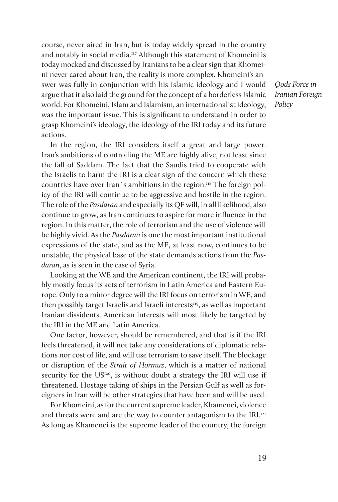course, never aired in Iran, but is today widely spread in the country and notably in social media.117 Although this statement of Khomeini is today mocked and discussed by Iranians to be a clear sign that Khomeini never cared about Iran, the reality is more complex. Khomeini's answer was fully in conjunction with his Islamic ideology and I would argue that it also laid the ground for the concept of a borderless Islamic world. For Khomeini, Islam and Islamism, an internationalist ideology, was the important issue. This is significant to understand in order to grasp Khomeini's ideology, the ideology of the IRI today and its future actions.

In the region, the IRI considers itself a great and large power. Iran's ambitions of controlling the ME are highly alive, not least since the fall of Saddam. The fact that the Saudis tried to cooperate with the Israelis to harm the IRI is a clear sign of the concern which these countries have over Iran's ambitions in the region.<sup>118</sup> The foreign policy of the IRI will continue to be aggressive and hostile in the region. The role of the *Pasdaran* and especially its QF will, in all likelihood, also continue to grow, as Iran continues to aspire for more influence in the region. In this matter, the role of terrorism and the use of violence will be highly vivid. As the *Pasdaran* is one the most important institutional expressions of the state, and as the ME, at least now, continues to be unstable, the physical base of the state demands actions from the *Pasdaran*, as is seen in the case of Syria.

Looking at the WE and the American continent, the IRI will probably mostly focus its acts of terrorism in Latin America and Eastern Europe. Only to a minor degree will the IRI focus on terrorism in WE, and then possibly target Israelis and Israeli interests<sup>119</sup>, as well as important Iranian dissidents. American interests will most likely be targeted by the IRI in the ME and Latin America.

One factor, however, should be remembered, and that is if the IRI feels threatened, it will not take any considerations of diplomatic relations nor cost of life, and will use terrorism to save itself. The blockage or disruption of the *Strait of Hormuz*, which is a matter of national security for the US<sup>120</sup>, is without doubt a strategy the IRI will use if threatened. Hostage taking of ships in the Persian Gulf as well as foreigners in Iran will be other strategies that have been and will be used.

For Khomeini, as for the current supreme leader, Khamenei, violence and threats were and are the way to counter antagonism to the IRI.<sup>121</sup> As long as Khamenei is the supreme leader of the country, the foreign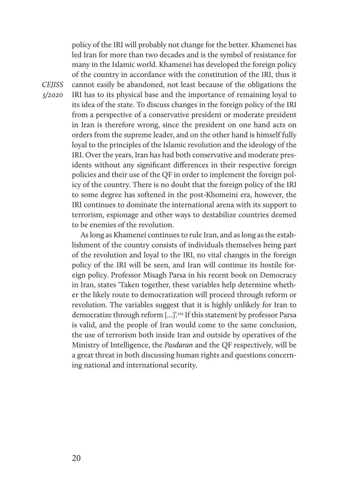policy of the IRI will probably not change for the better. Khamenei has led Iran for more than two decades and is the symbol of resistance for many in the Islamic world. Khamenei has developed the foreign policy of the country in accordance with the constitution of the IRI, thus it cannot easily be abandoned, not least because of the obligations the IRI has to its physical base and the importance of remaining loyal to its idea of the state. To discuss changes in the foreign policy of the IRI from a perspective of a conservative president or moderate president in Iran is therefore wrong, since the president on one hand acts on orders from the supreme leader, and on the other hand is himself fully loyal to the principles of the Islamic revolution and the ideology of the IRI. Over the years, Iran has had both conservative and moderate presidents without any significant differences in their respective foreign policies and their use of the QF in order to implement the foreign policy of the country. There is no doubt that the foreign policy of the IRI to some degree has softened in the post-Khomeini era, however, the IRI continues to dominate the international arena with its support to terrorism, espionage and other ways to destabilize countries deemed to be enemies of the revolution.

As long as Khamenei continues to rule Iran, and as long as the establishment of the country consists of individuals themselves being part of the revolution and loyal to the IRI, no vital changes in the foreign policy of the IRI will be seen, and Iran will continue its hostile foreign policy. Professor Misagh Parsa in his recent book on Democracy in Iran, states 'Taken together, these variables help determine whether the likely route to democratization will proceed through reform or revolution. The variables suggest that it is highly unlikely for Iran to democratize through reform […]'.122 If this statement by professor Parsa is valid, and the people of Iran would come to the same conclusion, the use of terrorism both inside Iran and outside by operatives of the Ministry of Intelligence, the *Pasdaran* and the QF respectively, will be a great threat in both discussing human rights and questions concerning national and international security.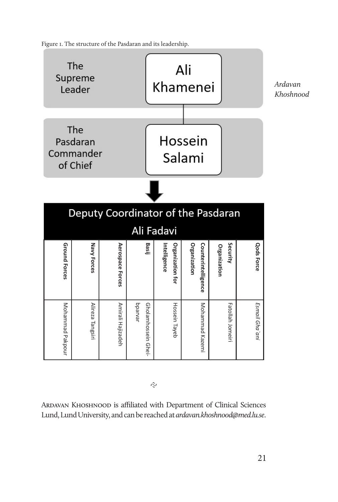Figure 1. The structure of the Pasdaran and its leadership.



 $\tilde{C}$ 

Ardavan Khoshnood is affiliated with Department of Clinical Sciences Lund, Lund University, and can be reached at *ardavan.khoshnood@med.lu.se*.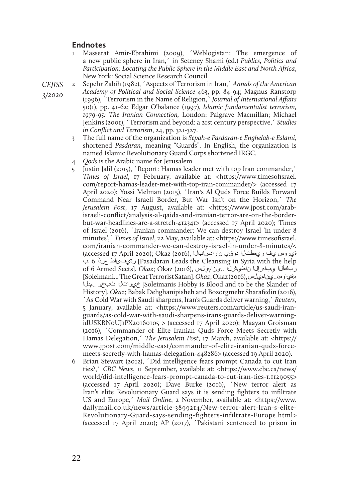## **Endnotes**

- 1 Masserat Amir-Ebrahimi (2009), ´Weblogistan: The emergence of a new public sphere in Iran,´ in Seteney Shami (ed.) *Publics, Politics and Participation: Locating the Public Sphere in the Middle East and North Africa*, New York: Social Science Research Council.
- 2 Sepehr Zabih (1982), ´Aspects of Terrorism in Iran,´ *Annals of the American Academy of Political and Social Science* 463, pp. 84-94; Magnus Ranstorp (1996), `Terrorism in the Name of Religion,` *Journal of International Affairs* 50(1), pp. 41-62; Edgar O'balance (1997), *Islamic fundamentalist terrorism, 1979-95: The Iranian Connection,* London: Palgrave Macmillan; Michael Jenkins (2001), ´Terrorism and beyond: a 21st century perspective,´ *Studies in Conflict and Terrorism*, 24, pp. 321-327.
	- 3 The full name of the organization is *Sepah-e Pasdaran-e Enghelab-e Eslami*, shortened *Pasdaran*, meaning "Guards". In English, the organization is named Islamic Revolutionary Guard Corps shortened IRGC.
	- 4 *Qods* is the Arabic name for Jerusalem.
	- 5 Justin Jalil (2015), ´Report: Hamas leader met with top Iran commander,´ *Times of Israel*, 17 February, available at: <https://www.timesofisrael. com/report-hamas-leader-met-with-top-iran-commander/> (accessed 17 April 2020); Yossi Melman (2015), ´Iran׳s Al Quds Force Builds Forward Command Near Israeli Border, But War Isn't on the Horizon,´ *The Jerusalem Post*, 17 August, available at: <https://www.jpost.com/arabisraeli-conflict/analysis-al-qaida-and-iranian-terror-are-on-the-borderbut-war-headlines-are-a-stretch-412341> (accessed 17 April 2020); Times of Israel (2016), ´Iranian commander: We can destroy Israel 'in under 8 minutes',´ *Times of Israel*, 22 May, available at: <https://www.timesofisrael. com/iranian-commander-we-can-destroy-israel-in-under-8-minutes/< ةيروس يف ريهطتلا دوقي نارادسابلا ,(2016) Okaz); 2020 April 17 accessed( ـب 6 عرذأ رةيفئاط] Pasadaran Leads the Cleansing in Syria with the help of 6 Armed Sects]. *Okaz*; Okaz (2016), يناميلس.. ناطيشلا يباهرإلا ربكألا [Soleimani... The Great Terrorist Satan]. *Okaz*; Okaz (2016), يناميلس..»ةياوه « مدلا.. ثبخو خيراتلا] Soleimanis Hobby is Blood and to be the Slander of History]. *Okaz*; Babak Dehghanipisheh and Bozorgmehr Sharafedin (2016), ´As Cold War with Saudi sharpens, Iran's Guards deliver warning,´ *Reuters*, 5 January, available at: <https://www.reuters.com/article/us-saudi-iranguards/as-cold-war-with-saudi-sharpens-irans-guards-deliver-warningidUSKBN0UJ1PX20160105 > (accessed 17 April 2020); Maayan Groisman (2016), ´Commander of Elite Iranian Quds Force Meets Secretly with Hamas Delegation,<sup>'</sup> *The Jerusalem Post*, 17 March, available at: <https:// www.jpost.com/middle-east/commander-of-elite-iranian-quds-forcemeets-secretly-with-hamas-delegation-448286> (accessed 19 April 2020).
	- 6 Brian Stewart (2012), ´Did intelligence fears prompt Canada to cut Iran ties?,´ *CBC News*, 11 September, available at: <https://www.cbc.ca/news/ world/did-intelligence-fears-prompt-canada-to-cut-iran-ties-1.1129055> (accessed 17 April 2020); Dave Burke (2016), ´New terror alert as Iran's elite Revolutionary Guard says it is sending fighters to infiltrate US and Europe,´ *Mail Online*, 2 November, available at: <https://www. dailymail.co.uk/news/article-3899214/New-terror-alert-Iran-s-elite-Revolutionary-Guard-says-sending-fighters-infiltrate-Europe.html> (accessed 17 April 2020); AP (2017), ´Pakistani sentenced to prison in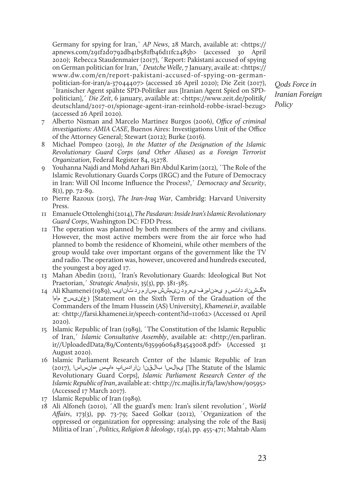Germany for spying for Iran,` *AP News*, 28 March, available at: <https:// apnews.com/291f2d0792db41b581fb46d11fc2485b> (accessed 30 April 2020); Rebecca Staudenmaier (2017), ´Report: Pakistani accused of spying on German politician for Iran,´ *Deutche Welle*, 7 January, availe at: <https:// www.dw.com/en/report-pakistani-accused-of-spying-on-germanpolitician-for-iran/a-37044407> (accessed 26 April 2020); Die Zeit (2017), ´Iranischer Agent spähte SPD-Politiker aus [Iranian Agent Spied on SPDpolitician],´ *Die Zeit*, 6 january, available at: <https://www.zeit.de/politik/ deutschland/2017-01/spionage-agent-iran-reinhold-robbe-israel-bezug> (accessed 26 April 2020).

- 7 Alberto Nisman and Marcelo Martinez Burgos (2006*)*, *Office of criminal investigations: AMIA CASE*, Buenos Aires: Investigations Unit of the Office of the Attorney General; Stewart (2012); Burke (2016).
- 8 Michael Pompeo (2019), *In the Matter of the Designation of the Islamic Revolutionary Guard Corps (and Other Aliases) as a Foreign Terrorist Organization*, Federal Register 84, 15278.
- 9 Youhanna Najdi and Mohd Azhari Bin Abdul Karim (2012), ´The Role of the Islamic Revolutionary Guards Corps (IRGC) and the Future of Democracy in Iran: Will Oil Income Influence the Process?,´ *Democracy and Security*, 8(1), pp. 72-89.
- 10 Pierre Razoux (2015), *The Iran-Iraq War*, Cambridg: Harvard University Press.
- 11 Emanuele Ottolenghi (2014), *The Pasdaran: Inside Iran's Islamic Revolutionary Guard Corps*, Washington DC: FDD Press.
- 12 The operation was planned by both members of the army and civilians. However, the most active members were from the air force who had planned to bomb the residence of Khomeini, while other members of the group would take over important organs of the government like the TV and radio. The operation was, however, uncovered and hundreds executed, the youngest a boy aged 17.
- 13 Mahan Abedin (2011), ´Iran's Revolutionary Guards: Ideological But Not Praetorian,´ *Strategic Analysis*, 35(3), pp. 381-385.
- هاگشناد داتس و یهدنامرف یهرود نیمشش مسارم رد تانایب ,(1989) Khamenei Ali 14 ماما نیسح)ع] (Statement on the Sixth Term of the Graduation of the Commanders of the Imam Hussein (AS) University], *Khamenei.ir*, available at: <http://farsi.khamenei.ir/speech-content?id=11062> (Accessed 01 April 2020).
- 15 Islamic Republic of Iran (1989), ´The Constitution of the Islamic Republic of Iran,´ *Islamic Consultative Assembly*, available at: <http://en.parliran. ir//UploadedData/89/Contents/635996064834543008.pdf> (Accessed 31 August 2020).
- 16 Islamic Parliament Research Center of the Islamic Republic of Iran Islamic the of Statute The [یمالسا بالقنا نارادساپ هاپس همانساسا ,(2017) Revolutionary Guard Corps], *Islamic Parliament Research Center of the Islamic Republic of Iran*, available at: <http://rc.majlis.ir/fa/law/show/90595> (Accessed 17 March 2017).
- 17 Islamic Republic of Iran (1989).
- 18 Ali Alfoneh (2010), ´All the guard's men: Iran's silent revolution´, *World Affairs*, 173(3), pp. 73-79; Saeed Golkar (2012), ´Organization of the oppressed or organization for oppressing: analysing the role of the Basij Militia of Iran´, *Politics, Religion & Ideology*, 13(4), pp. 455-471; Mahtab Alam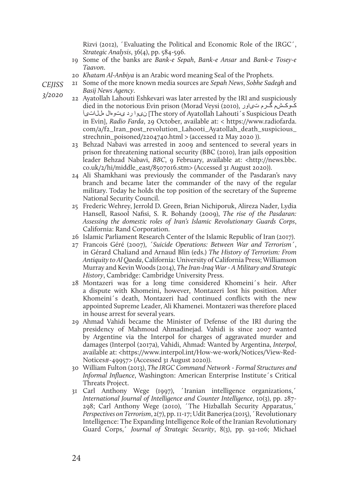Rizvi (2012), ´Evaluating the Political and Economic Role of the IRGC´, *Strategic Analysis*, 36(4), pp. 584-596.

- 19 Some of the banks are *Bank-e Sepah*, *Bank-e Ansar* and *Bank-e Tosey-e Taavon*.
- 20 *Khatam Al-Anbiya* is an Arabic word meaning Seal of the Prophets.
- 21 Some of the more known media sources are *Sepah News*, *Sobhe Sadegh* and *Basij News Agency*.
	- 22 Ayatollah Lahouti Eshkevari was later arrested by the IRI and suspiciously died in the notorious Evin prison (Morad Veysi (2010), تیاور گرم کوکشم The story of Ayatollah Lahouti´s Suspicious Death) نى وا رد ى تومال مللات،آ in Evin], *Radio Farda*, 29 October, available at: < https://www.radiofarda. com/a/f2\_Iran\_post\_revolution\_Lahooti\_Ayatollah\_death\_suspicious\_ strechnin\_poisoned/2204740.html > (accessed 12 May 2020 )).
	- 23 Behzad Nabavi was arrested in 2009 and sentenced to several years in prison for threatening national security (BBC (2010), Iran jails opposition leader Behzad Nabavi, *BBC*, 9 February, available at: <http://news.bbc. co.uk/2/hi/middle\_east/8507016.stm> (Accessed 31 August 2020)).
	- 24 Ali Shamkhani was previously the commander of the Pasdaran's navy branch and became later the commander of the navy of the regular military. Today he holds the top position of the secretary of the Supreme National Security Council.
	- 25 Frederic Wehrey, Jerrold D. Green, Brian Nichiporuk, Alireza Nader, Lydia Hansell, Rasool Nafisi, S. R. Bohandy (2009), *The rise of the Pasdaran: Assessing the domestic roles of Iran's Islamic Revolutionary Guards Corps*, California: Rand Corporation.
	- 26 Islamic Parliament Research Center of the Islamic Republic of Iran (2017).
	- 27 Francois Géré (2007), *´Suicide Operations: Between War and Terrorism´*, in Gérard Chaliand and Arnaud Blin (eds.) *The History of Terrorism: From Antiquity to Al Qaeda*, California: University of California Press; Williamson Murray and Kevin Woods (2014), *The Iran-Iraq War - A Military and Strategic History*, Cambridge: Cambridge University Press.
	- 28 Montazeri was for a long time considered Khomeini´s heir. After a dispute with Khomeini, however, Montazeri lost his position. After Khomeini´s death, Montazeri had continued conflicts with the new appointed Supreme Leader, Ali Khamenei. Montazeri was therefore placed in house arrest for several years.
	- 29 Ahmad Vahidi became the Minister of Defense of the IRI during the presidency of Mahmoud Ahmadinejad. Vahidi is since 2007 wanted by Argentine via the Interpol for charges of aggravated murder and damages (Interpol (2017a), Vahidi, Ahmad: Wanted by Argentina, *Interpol*, available at: <https://www.interpol.int/How-we-work/Notices/View-Red-Notices#-49957> (Accessed 31 August 2020)).
	- 30 William Fulton (2013), *The IRGC Command Network Formal Structures and Informal Influence*, Washington: American Enterprise Institute´s Critical Threats Project.
	- 31 Carl Anthony Wege (1997), ´Iranian intelligence organizations,´ *International Journal of Intelligence and Counter Intelligence*, 10(3), pp. 287- 298; Carl Anthony Wege (2010), ´The Hizballah Security Apparatus,´ *Perspectives on Terrorism*, 2(7), pp. 11-17; Udit Banerjea (2015), ´Revolutionary Intelligence: The Expanding Intelligence Role of the Iranian Revolutionary Guard Corps,´ *Journal of Strategic Security*, 8(3), pp. 92-106; Michael

*CEJISS* 

*3/2020*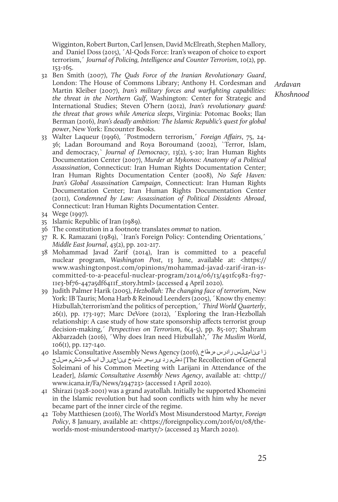Wigginton, Robert Burton, Carl Jensen, David McElreath, Stephen Mallory, and Daniel Doss (2015), ´Al-Qods Force: Iran's weapon of choice to export terrorism,´ *Journal of Policing, Intelligence and Counter Terrorism*, 10(2), pp. 153-165.

32 Ben Smith (2007), *The Quds Force of the Iranian Revolutionary Guard*, London: The House of Commons Library; Anthony H. Cordesman and Martin Kleiber (2007), *Iran's military forces and warfighting capabilities: the threat in the Northern Gulf*, Washington: Center for Strategic and International Studies; Steven O'hern (2012), *Iran's revolutionary guard: the threat that grows while America sleeps*, Virginia: Potomac Books; Ilan Berman (2016), *Iran's deadly ambition: The Islamic Republic's quest for global power*, New York: Encounter Books.

*Ardavan Khoshnood*

- 33 Walter Laqueur (1996), ´Postmodern terrorism,´ *Foreign Affairs*, 75, 24- 36; Ladan Boroumand and Roya Boroumand (2002), `Terror, Islam, and democracy,` *Journal of Democracy*, 13(2), 5-20; Iran Human Rights Documentation Center (2007), *Murder at Mykonos: Anatomy of a Political Assassination*, Connecticut: Iran Human Rights Documentation Center; Iran Human Rights Documentation Center (2008), *No Safe Haven: Iran's Global Assassination Campaign*, Connecticut: Iran Human Rights Documentation Center; Iran Human Rights Documentation Center (2011), *Condemned by Law: Assassination of Political Dissidents Abroad*, Connecticut: Iran Human Rights Documentation Center.
- 34 Wege (1997).
- 35 Islamic Republic of Iran (1989).
- 36 The constitution in a footnote translates *ommat* to nation.
- 37 R. K. Ramazani (1989), `Iran's Foreign Policy: Contending Orientations,´ *Middle East Journal*, 43(2), pp. 202-217.
- 38 Mohammad Javad Zarif (2014), Iran is committed to a peaceful nuclear program, *Washington Post*, 13 June, available at: <https:// www.washingtonpost.com/opinions/mohammad-javad-zarif-iran-iscommitted-to-a-peaceful-nuclear-program/2014/06/13/491fc982-f197- 11e3-bf76-447a5df6411f\_story.html> (accessed 4 April 2020).
- 39 Judith Palmer Harik (2005), *Hezbollah: The changing face of terrorism*, New York: IB Tauris; Mona Harb & Reinoud Leenders (2005), 'Know thy enemy: Hizbullah,'terrorism'and the politics of perception,´ *Third World Quarterly*, 26(1), pp. 173-197; Marc DeVore (2012), ´Exploring the Iran-Hezbollah relationship: A case study of how state sponsorship affects terrorist group decision-making,´ *Perspectives on Terrorism*, 6(4-5), pp. 85-107; Shahram Akbarzadeh (2016), ´Why does Iran need Hizbullah?,´ *The Muslim World*, 106(1), pp. 127-140.
- 40 Islamic Consultative Assembly News Agency (2016), هرطاخ رادرس ینامیلس زا The Recollection of General) دهشم رد یربهر نمدخ یناجیرال اب کرتشم هسلج Soleimani of his Common Meeting with Larijani in Attendance of the Leader], *Islamic Consultative Assembly News Agency*, available at: <http:// www.icana.ir/Fa/News/294723> (accessed 1 April 2020).
- 41 Shirazi (1928-2001) was a grand ayatollah. Initially he supported Khomeini in the Islamic revolution but had soon conflicts with him why he never became part of the inner circle of the regime.
- 42 Toby Matthiesen (2016), The World's Most Misunderstood Martyr, *Foreign Policy*, 8 January, available at: <https://foreignpolicy.com/2016/01/08/theworlds-most-misunderstood-martyr/> (accessed 23 March 2020).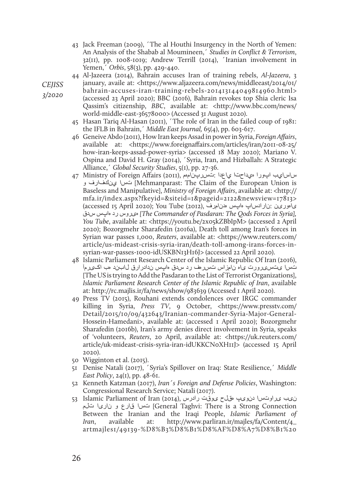43 Jack Freeman (2009), ´The al Houthi Insurgency in the North of Yemen: An Analysis of the Shabab al Moumineen,´ *Studies in Conflict & Terrorism*, 32(11), pp. 1008-1019; Andrew Terrill (2014), ´Iranian involvement in Yemen,´ *Orbis*, 58(3), pp. 429-440.

44 Al-Jazeera (2014), Bahrain accuses Iran of training rebels, *Al-Jazeera*, 3 january, availe at: <https://www.aljazeera.com/news/middleeast/2014/01/

bahrain-accuses-iran-training-rebels-201413144049814960.html> (accessed 23 April 2020); BBC (2016), Bahrain revokes top Shia cleric Isa

- Qassim's citizenship, *BBC*, available at: <http://www.bbc.com/news/ world-middle-east-36578000> (Accessed 31 August 2020).
- 45 Hasan Tariq Al-Hasan (2011), ´The role of Iran in the failed coup of 1981: the IFLB in Bahrain,´ *Middle East Journal,* 65(4), pp. 603-617.
- 46 Geneive Abdo (2011), How Iran keeps Assad in power in Syria, *Foreign Affairs*, available at: <https://www.foreignaffairs.com/articles/iran/2011-08-25/ how-iran-keeps-assad-power-syria> (accessed 18 May 2020); Mariano V. Ospina and David H. Gray (2014), ´Syria, Iran, and Hizballah: A Strategic Alliance,´ *Global Security Studies*, 5(1), pp. 27-36.
- ساسايب اپورا هيداحتا ياعدا :تسرپنامهم ,(2011) Affairs Foreign of Ministry 47 و ينكفارف تسا] Mehmanparast: The Claim of the European Union is Baseless and Manipulative], *Ministry of Foreign Affairs*, available at: <http:// mfa.ir/index.aspx?fkeyid=&siteid=1&pageid=2122&newsview=17813> یاهورین :نارادساپ هاپس هدنامرف ,(2012) Tube You); 2020 April 15 accessed( سدق هاپس رد هیروس*] The Commander of Pasdaran: The Qods Forces in Syria], You Tube*, available at: <https://youtu.be/2x05kZBbIpM> (accessed 2 April 2020); Bozorgmehr Sharafedin (2016a), Death toll among Iran's forces in Syrian war passes 1,000, *Reuters*, available at: <https://www.reuters.com/ article/us-mideast-crisis-syria-iran/death-toll-among-irans-forces-insyrian-war-passes-1000-idUSKBN13H16J> (accessed 22 April 2020).
- 48 Islamic Parliament Research Center of the Islamic Republic Of Iran (2016), تسا یتسیرورت یاه نامزاس تسرهف رد سدق هاپس ندادرارق لابند هب اکیرمآ [The US is trying to Add the Pasdaran to the List of Terrorist Organizations], *Islamic Parliament Research Center of the Islamic Republic of Iran*, available at: http://rc.majlis.ir/fa/news/show/983639 (Accessed 1 April 2020).
- 49 Press TV (2015), Rouhani extends condolences over IRGC commander killing in Syria, *Press TV*, 9 October, <https://www.presstv.com/ Detail/2015/10/09/432643/Iranian-commander-Syria-Major-General-Hossein-Hamedani>, available at: (accessed 1 April 2020); Bozorgmehr Sharafedin (2016b), Iran's army denies direct involvement in Syria, speaks of 'volunteers, *Reuters*, 20 April, available at: <https://uk.reuters.com/ article/uk-mideast-crisis-syria-iran-idUKKCN0XH11J> (accessed 15 April 2020).
- 50 Wigginton et al. (2015).
- 51 Denise Natali (2017), ´Syria's Spillover on Iraq: State Resilience,´ *Middle East Policy*, 24(1), pp. 48-61.
- 52 Kenneth Katzman (2017), *Iran´s Foreign and Defense Policies*, Washington: Congressional Research Service; Natali (2017).
- نیب یراوتسا دنویپ هقلح یوقت رادرس ,(2014) Islamic Parliament of Iran (2014 تس ا قارع و ناری ا تالم [General Taghvi: There is a Strong Connection Between the Iranian and the Iraqi People, *Islamic Parliament of Iran*, available at: http://www.parliran.ir/majles/fa/Content/4\_ artmajles1/49139-%D8%B3%D8%B1%D8%AF%D8%A7%D8%B1%20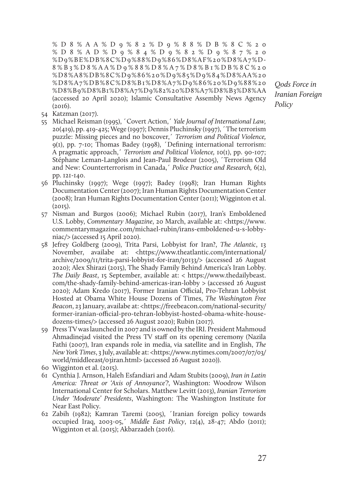%D8%AA%D9%82%D9%88%DB%8C%20 %D8%AD%D9%84%D9%82%D9%87%20 %D9%BE%DB%8C%D9%88%D9%86%D8%AF%20%D8%A7%D-8%B3%D8%AA%D9%88%D8%A7%D8%B1%DB%8C%20 %D8%A8%DB%8C%D9%86%20%D9%85%D9%84%D8%AA%20 %D8%A7%DB%8C%D8%B1%D8%A7%D9%86%20%D9%88%20 %D8%B9%D8%B1%D8%A7%D9%82%20%D8%A7%D8%B3%D8%AA (accessed 20 April 2020); Islamic Consultative Assembly News Agency (2016).

- 54 Katzman (2017).
- 55 Michael Reisman (1995), ´Covert Action,´ *Yale Journal of International Law,* 20(419), pp. 419-425; Wege (1997); Dennis Pluchinsky (1997), ´The terrorism puzzle: Missing pieces and no boxcover,´ *Terrorism and Political Violence,* 9(1), pp. 7-10; Thomas Badey (1998), ´Defining international terrorism: A pragmatic approach,´ *Terrorism and Political Violence,* 10(1), pp. 90-107; Stéphane Leman‐Langlois and Jean-Paul Brodeur (2005), ´Terrorism Old and New: Counterterrorism in Canada,´ *Police Practice and Research,* 6(2), pp. 121-140.
- 56 Pluchinsky (1997); Wege (1997); Badey (1998); Iran Human Rights Documentation Center (2007); Iran Human Rights Documentation Center (2008); Iran Human Rights Documentation Center (2011); Wigginton et al.  $(2015).$
- 57 Nisman and Burgos (2006); Michael Rubin (2017), Iran's Emboldened U.S. Lobby, *Commentary Magazine*, 20 March, available at: <https://www. commentarymagazine.com/michael-rubin/irans-emboldened-u-s-lobbyniac/> (accessed 15 April 2020).
- 58 Jefrey Goldberg (2009), Trita Parsi, Lobbyist for Iran?, *The Atlantic*, 13 November, availabe at: <https://www.theatlantic.com/international/ archive/2009/11/trita-parsi-lobbyist-for-iran/30133/> (accessed 26 August 2020); Alex Shirazi (2015), The Shady Family Behind America's Iran Lobby. *The Daily Beast*, 15 September, available at: < https://www.thedailybeast. com/the-shady-family-behind-americas-iran-lobby > (accessed 26 August 2020); Adam Kredo (2017), Former Iranian Official, Pro-Tehran Lobbyist Hosted at Obama White House Dozens of Times, *The Washington Free Beacon*, 23 January, availabe at: <https://freebeacon.com/national-security/ former-iranian-official-pro-tehran-lobbyist-hosted-obama-white-housedozens-times/> (accessed 26 August 2020); Rubin (2017).
- 59 Press TV was launched in 2007 and is owned by the IRI. President Mahmoud Ahmadinejad visited the Press TV staff on its opening ceremony (Nazila Fathi (2007), Iran expands role in media, via satellite and in English, *The New York Times*, 3 July, available at: <https://www.nytimes.com/2007/07/03/ world/middleeast/03iran.html> (accessed 26 August 2020)).
- 60 Wigginton et al. (2015).
- 61 Cynthia J. Arnson, Haleh Esfandiari and Adam Stubits (2009), *Iran in Latin America: Threat or 'Axis of Annoyance'?*, Washington: Woodrow Wilson International Center for Scholars. Matthew Levitt (2013), *Iranian Terrorism Under 'Moderate' Presidents*, Washington: The Washington Institute for Near East Policy.
- 62 Zabih (1982); Kamran Taremi (2005), ´Iranian foreign policy towards occupied Iraq, 2003-05,´ *Middle East Policy*, 12(4), 28-47; Abdo (2011); Wigginton et al. (2015); Akbarzadeh (2016).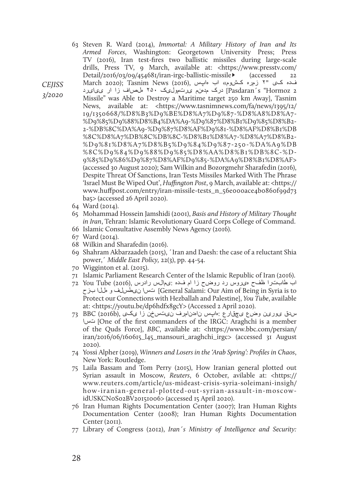- 63 Steven R. Ward (2014), *Immortal: A Military History of Iran and Its Armed Forces*, Washington: Georgetown University Press; Press TV (2016), Iran test-fires two ballistic missiles during large-scale drills, Press TV, 9 March, available at: <https://www.presstv.com/  $Detail/2016/03/09/454681/iran-irgc-ballistic-missile- (accessed 22)$
- *CEJISS 3/2020*  فده کی "۲ زمره کشوم» اب هاپس ,(2016) News Tasnim); 2020 March 2 Pasdaran´s "Hormozإ درک مدهنم یرتمولیک ۲۵۰ ملصاف زا ار ی یای رد Missile" was Able to Destroy a Maritime target 250 km Away], Tasnim News, available at: <https://www.tasnimnews.com/fa/news/1395/12/ 19/1350668/%D8%B3%D9%BE%D8%A7%D9%87-%D8%A8%D8%A7- %D9%85%D9%88%D8%B4%DA%A9-%D9%87%D8%B1%D9%85%D8%B2- 2-%DB%8C%DA%A9-%D9%87%D8%AF%D9%81-%D8%AF%D8%B1%DB %8C%D8%A7%DB%8C%DB%8C-%D8%B1%D8%A7-%D8%A7%D8%B2- %D9%81%D8%A7%D8%B5%D9%84%D9%87-250-%DA%A9%DB %8C%D9%84%D9%88%D9%85%D8%AA%D8%B1%DB%8C-%D-9%85%D9%86%D9%87%D8%AF%D9%85-%DA%A9%D8%B1%D8%AF> (accessed 30 August 2020); Sam Wilkin and Bozorgmehr Sharafedin (2016), Despite Threat Of Sanctions, Iran Tests Missiles Marked With The Phrase 'Israel Must Be Wiped Out', *Huffington Post*, 9 March, available at: <https:// www.huffpost.com/entry/iran-missile-tests\_n\_56e000ace4b0860f99d73 ba5> (accessed 26 April 2020).
	- 64 Ward (2014).
	- 65 Mohammad Hossein Jamshidi (2001), *Basis and History of Military Thought in Iran*, Tehran: Islamic Revolutionary Guard Corps College of Command.
	- 66 Islamic Consultative Assembly News Agency (2016).
	- 67 Ward (2014).
	- 68 Wilkin and Sharafedin (2016).
	- 69 Shahram Akbarzaadeh (2015), ´Iran and Daesh: the case of a reluctant Shia power,´ *Middle East Policy,* 22(3), pp. 44-54.
	- 70 Wigginton et al. (2015).
	- 71 Islamic Parliament Research Center of the Islamic Republic of Iran (2016).
	- اب طابترا ظفح هیروس رد روضح زا ام فده :یمالس رادرس ,(2016) Tube You 72 بزح هللا و نیطسلف تسا]General Salami: Our Aim of Being in Syria is to Protect our Connections with Hezballah and Palestine], *You Tube*, available at: <https://youtu.be/dp6hdfx8gcY> (Accessed 2 April 2020).
	- سدق یورین وضع یچقارع :هاپس ناهدنامرف نیتسخن زا یکی ,(b2016 (BBC 73 تسا] One of the first commanders of the IRGC: Araghchi is a member of the Quds Force], *BBC*, available at: <https://www.bbc.com/persian/ iran/2016/06/160615\_l45\_mansouri\_araghchi\_irgc> (accessed 31 August 2020).
	- 74 Yossi Alpher (2019), *Winners and Losers in the 'Arab Spring': Profiles in Chaos*, New York: Routledge.
	- 75 Laila Bassam and Tom Perry (2015), How Iranian general plotted out Syrian assault in Moscow, *Reuters*, 6 October, avilable at: <https:// www.reuters.com/article/us-mideast-crisis-syria-soleimani-insigh/ how-iranian-general-plotted-out-syrian-assault-in-moscowidUSKCN0S02BV20151006> (accessed 15 April 2020).
	- 76 Iran Human Rights Documentation Center (2007); Iran Human Rights Documentation Center (2008); Iran Human Rights Documentation Center (2011).
	- 77 Library of Congress (2012), *Iran´s Ministry of Intelligence and Security:*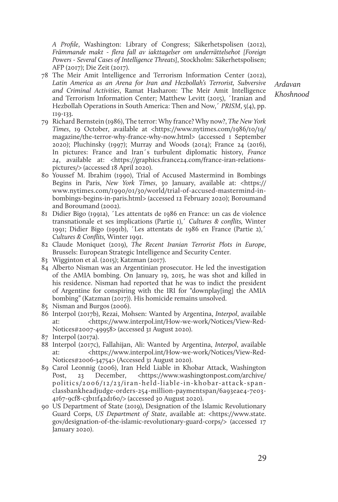*A Profile*, Washington: Library of Congress; Säkerhetspolisen (2012), *Främmande makt - flera fall av iakttagelser om underrättelsehot [Foreign Powers - Several Cases of Intelligence Threats]*, Stockholm: Säkerhetspolisen; AFP (2017); Die Zeit (2017).

78 The Meir Amit Intelligence and Terrorism Information Center (2012), *Latin America as an Arena for Iran and Hezbollah's Terrorist, Subversive and Criminal Activities*, Ramat Hasharon: The Meir Amit Intelligence and Terrorism Information Center; Matthew Levitt (2015), ´Iranian and Hezbollah Operations in South America: Then and Now,´ *PRISM*, 5(4), pp. 119-133.

*Ardavan Khoshnood*

- 79 Richard Bernstein (1986), The terror: Why france? Why now?, *The New York Times*, 19 October, available at <https://www.nytimes.com/1986/10/19/ magazine/the-terror-why-france-why-now.html> (accessed 1 September 2020); Pluchinsky (1997); Murray and Woods (2014); France 24 (2016), In pictures: France and Iran´s turbulent diplomatic history, *France 24*, available at: <https://graphics.france24.com/france-iran-relationspictures/> (accessed 18 April 2020).
- 80 Youssef M. Ibrahim (1990), Trial of Accused Mastermind in Bombings Begins in Paris, *New York Times*, 30 January, available at: <https:// www.nytimes.com/1990/01/30/world/trial-of-accused-mastermind-inbombings-begins-in-paris.html> (accessed 12 February 2020); Boroumand and Boroumand (2002).
- 81 Didier Bigo (1991a), ´Les attentats de 1986 en France: un cas de violence transnationale et ses implications (Partie 1),´ *Cultures & conflits,* Winter 1991; Didier Bigo (1991b), ´Les attentats de 1986 en France (Partie 2),´ *Cultures & Conflits,* Winter 1991.
- 82 Claude Moniquet (2019), *The Recent Iranian Terrorist Plots in Europe*, Brussels: European Strategic Intelligence and Security Center.
- 83 Wigginton et al. (2015); Katzman (2017).
- 84 Alberto Nisman was an Argentinian prosecutor. He led the investigation of the AMIA bombing. On January 19, 2015, he was shot and killed in his residence. Nisman had reported that he was to indict the president of Argentine for conspiring with the IRI for "downplay[ing] the AMIA bombing" (Katzman (2017)). His homicide remains unsolved.
- 85 Nisman and Burgos (2006).
- 86 Interpol (2017b), Rezai, Mohsen: Wanted by Argentina, *Interpol*, available at: <https://www.interpol.int/How-we-work/Notices/View-Red-Notices#2007-49958> (accessed 31 August 2020).
- 87 Interpol (2017a).
- 88 Interpol (2017c), Fallahijan, Ali: Wanted by Argentina, *Interpol*, available at: <https://www.interpol.int/How-we-work/Notices/View-Red-Notices#2006-34754> (Accessed 31 August 2020).
- 89 Carol Leonnig (2006), Iran Held Liable in Khobar Attack, Washington Post, 23 December, <https://www.washingtonpost.com/archive/ politics/2006/12/23/iran-held-liable-in-khobar-attack-spanclassbankheadjudge-orders-254-million-paymentspan/6a93eae4-7e03- 4167-9cf8-c3b11f42d160/> (accessed 30 August 2020).
- 90 US Department of State (2019), Designation of the Islamic Revolutionary Guard Corps, *US Department of State*, available at: <https://www.state. gov/designation-of-the-islamic-revolutionary-guard-corps/> (accessed 17 January 2020).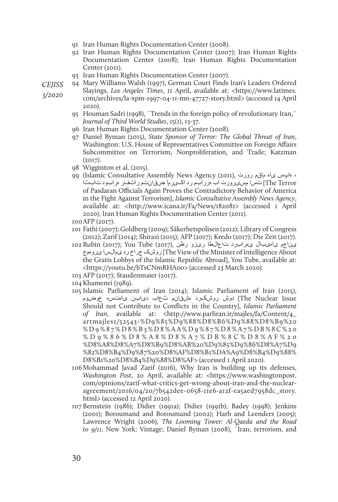- 91 Iran Human Rights Documentation Center (2008).
- 92 Iran Human Rights Documentation Center (2007); Iran Human Rights Documentation Center (2008); Iran Human Rights Documentation Center (2011).
- 93 Iran Human Rights Documentation Center (2007).

*CEJISS* 

*3/2020* 

- 94 Mary Williams Walsh (1997), German Court Finds Iran's Leaders Ordered Slayings, *Los Angeles Times*, 11 April, available at: <https://www.latimes. com/archives/la-xpm-1997-04-11-mn-47727-story.html> (accessed 14 April 2020).
- 95 Houman Sadri (1998), ´Trends in the foreign policy of revolutionary Iran,´ *Journal of Third World Studies*, 15(1), 13-37.
- 96 Iran Human Rights Documentation Center (2008).
- 97 Daniel Byman (2015), *State Sponsor of Terror: The Global Threat of Iran*, Washington: U.S. House of Representatives Committee on Foreign Affairs Subcommittee on Terrorism, Nonproliferation, and Trade; Katzman (2017).
- 98 Wigginton et al. (2015).
- 99 (Islamic Consultative Assembly News Agency (2011), رورت ماقم یاه هاپس ، The Terror تس امسیرورت اب مزرابم رد اکیرمآ ضقانتم راتفر مرابود تابثا of Pasdaran Officials Again Proves the Contradictory Behavior of America in the Fight Against Terrorism], *Islamic Consultative Assembly News Agency*, available at: <http://www.icana.ir/Fa/News/182081> (accessed 1 April 2020); Iran Human Rights Documentation Center (2011).
- 100AFP (2017).
- 101 Fathi (2007); Goldberg (2009); Säkerhetspolisen (2012); Library of Congress (2012); Zarif (2014); Shirazi (2015); AFP (2017); Kredo (2017); Die Zeit (2017).
- یناجم یاهیبال یهرابرد تاعالطا ریزو رظن ,(2017) Tube You); 2017 (Rubin 102 یروهمج یمالسا رد جراخ روشک] The View of the Minister of Intelligence About the Gratis Lobbys of the Islamic Republic Abroad], You Tube, available at: <https://youtu.be/bTsCNmRHA0o> (accessed 23 March 2020).
- 103 AFP (2017); Staudenmaier (2017).
- 104Khamenei (1989).
- 105 Islamic Parliament of Iran (2014); Islamic Parliament of Iran (2015), The Nuclear Issue] دوش روشکرد هشقان. ثعاب دیابن یاهتسه عوضوم Should not Contribute to Conflicts in the Country], *Islamic Parliament of Iran*, available at: <http://www.parliran.ir/majles/fa/Content/4\_ artmajles1/52543-%D9%85%D9%88%D8%B6%D9%88%D8%B9%20 %D9%87%D8%B3%D8%AA%D9%87%D8%A7%DB%8C%20 %D9%86%D8%A8%D8%A7%DB%8C%D8%AF%20 %D8%A8%D8%A7%D8%B9%D8%AB%20%D9%85%D9%86%D8%A7%D9 %82%D8%B4%D9%87%20%D8%AF%D8%B1%DA%A9%D8%B4%D9%88% D8%B1%20%D8%B4%D9%88%D8%AF> (accessed 1 April 2020).
- 106Mohammad Javad Zarif (2016), Why Iran is building up its defenses, *Washington Post*, 20 April, available at: <https://www.washingtonpost. com/opinions/zarif-what-critics-get-wrong-about-iran-and-the-nuclearagreement/2016/04/20/7b542dee-0658-11e6-a12f-ea5aed7958dc\_story. html> (accessed 12 April 2020).
- 107 Bernstein (1986); Didier (1991a); Didier (1991b); Badey (1998); Jenkins (2001); Boroumand and Boroumand (2002); Harb and Leenders (2005); Lawrence Wright (2006), *The Looming Tower: Al-Qaeda and the Road to 9/11,* New York: Vintage; Daniel Byman (2008), ´Iran, terrorism, and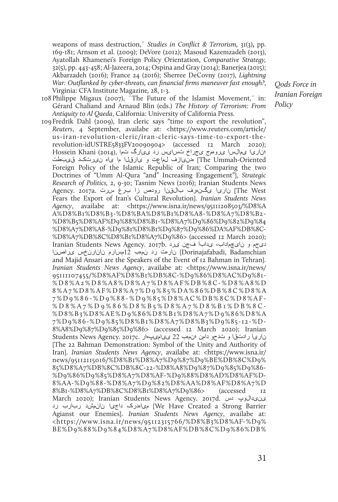weapons of mass destruction,´ *Studies in Conflict & Terrorism,* 31(3)**,** pp. 169-181; Arnson et al. (2009); DeVore (2012); Masoud Kazemzadeh (2013), Ayatollah Khamenei's Foreign Policy Orientation, *Comparative Strategy,* 32(5), pp. 443-458; Al-Jazeera, 2014; Ospina and Gray (2014); Banerjea (2015); Akbarzadeh (2016); France 24 (2016); Sherree DeCovny (2017), *Lightning War: Outflanked by cyber-threats, can financial firms maneuver fast enough?*, Virginia: CFA Institute Magazine*,* 28, 1-3.

- 108Philippe Migaux (2007), ´The Future of the Islamist Movement,´ in: Gérard Chaliand and Arnaud Blin (eds.) *The History of Terrorism: From Antiquity to Al Qaeda*, California: University of California Press.
- 109Fredrik Dahl (2009), Iran cleric says "time to export the revolution", *Reuters*, 4 September, availabe at: <https://www.reuters.com/article/ us-iran-revolution-cleric/iran-cleric-says-time-to-export-therevolution-idUSTRE5833FV20090904> (accessed 12 March 2020); ؛ناریا یمالسا یروهمج یجراخ تسایس رد ییارگ تما ,(2014) Khani Hossein The Ummah-Oriented) هنییازف لماعت و یارقلا ما یاه نیرتکد قی بطت Foreign Policy of the Islamic Republic of Iran; Comparing the two Doctrines of "Umm Al-Qura "and" Increasing Engagement"], *Strategic Research of Politics,* 2, 9-30; Tasnim News (2016); Iranian Students News Agency. 2017a. ناریا یگن رف بال قنا رودص زا برغ سرت .Agency. 2017a Fears the Export of Iran's Cultural Revolution]. *Iranian Students News Agency*, availabe at: <https://www.isna.ir/news/95111208503/%D8%A A%D8%B1%D8%B3-%D8%BA%D8%B1%D8%A8-%D8%A7%D8%B2- %D8%B5%D8%AF%D9%88%D8%B1-%D8%A7%D9%86%D9%82%D9%84 %D8%A7%D8%A8-%D9%81%D8%B1%D9%87%D9%86%DA%AF%DB%8C- %D8%A7%DB%8C%D8%B1%D8%A7%D9%86> (accessed 12 March 2020); دیجم و نایچماداب، یدابآ فجن یرد .b2017 .Agency News Students Iranian Dorinajafabadi, Badamchian نارهت رد نم ب 12مسارم نانارنخس ی اصنا and Majid Ansari are the Speakers of the Event of 12 Bahman in Tehran]. *Iranian Students News Agency*, availabe at: <https://www.isna.ir/news/ 95111107455/%D8%AF%D8%B1%DB%8C-%D9%86%D8%AC%D9%81- %D8%A2%D8%A8%D8%A7%D8%AF%DB%8C-%D8%A8%D 8%A7%D8%AF%D8%A7%D9%85%DA%86%DB%8C%D8%A 7%D9%86-%D9%88-%D9%85%D8%AC%DB%8C%D8%AF- %D8%A7%D9%86%D8%B5%D8%A7%D8%B1%DB%8C- %D8%B3%D8%AE%D9%86%D8%B1%D8%A7%D9%86%D8%A 7%D9%86-%D9%85%D8%B1%D8%A7%D8%B3%D9%85-12-%D-8%A8%D9%87%D9%85%D9%86> (accessed 12 March 2020); Iranian ناریا رادت قا و تدحو دامن ؛نمهب 22 ییامیپامر .Students News Agency. 2017c [The 22 Bahman Demonstration: Symbol of the Unity and Authority of Iran]. *Iranian Students News Agency*, availabe at: <https://www.isna.ir/ news/95112115016/%D8%B1%D8%A7%D9%87%D9%BE%DB%8C%D9% 85%D8%A7%DB%8C%DB%8C-22-%D8%A8%D9%87%D9%85%D9%86- %D9%86%D9%85%D8%A7%D8%AF-%D9%88%D8%AD%D8%AF%D-8%AA-%D9%88-%D8%A7%D9%82%D8%AA%D8%AF%D8%A7%D 8%B1-%D8%A7%DB%8C%D8%B1%D8%A7%D9%86> (accessed 12 March 2020); Iranian Students News Agency. 2017d. دس ینیدالوپ We Have Created a Strong Barrier) میاهدرک داجی نان ششد ربارب رد Agianst our Enemies]. *Iranian Students News Agency*, availabe at: <https://www.isna.ir/news/95112315766/%D8%B3%D8%AF-%D9% BE%D9%88%D9%84%D8%A7%D8%AF%DB%8C%D9%86%DB%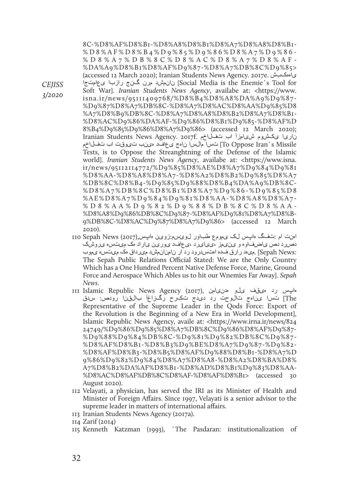*CEJISS 3/2020* 

8C-%D8%AF%D8%B1-%D8%A8%D8%B1%D8%A7%D8%A8%D8%B1- %D8%AF%D8%B4%D9%85%D9%86%D8%A7%D9%86- %D8%A7%DB%8C%D8%AC%D8%A7%D8%AF- %DA%A9%D8%B1%D8%AF%D9%87-%D8%A7%DB%8C%D9%85> (accessed 12 March 2020); Iranian Students News Agency. 2017e. یاههکبش یعامتجا رازبا گنج مرن نانمشد] Social Media is the Enemie´s Tool for Soft War]. *Iranian Students News Agency*, availabe at: <https://www. isna.ir/news/95111409768/%D8%B4%D8%A8%DA%A9%D9%87- %D9%87%D8%A7%DB%8C-%D8%A7%D8%AC%D8%AA%D9%85%D8 %A7%D8%B9%DB%8C-%D8%A7%D8%A8%D8%B2%D8%A7%D8%B1- %D8%AC%D9%86%DA%AF-%D9%86%D8%B1%D9%85-%D8%AF%D 8%B4%D9%85%D9%86%D8%A7%D9%86> (accessed 12 March 2020); ناریا یکشوم شیامزاً اب تفلاخم .Iranian Students News Agency. 2017f To Oppose Iran's Missile تس آمالسا ناهج ی عافد مینب تیوقت اب تفلاخم Tests, is to Oppose the Streanghtning of the Defense of the Islamic world]. *Iranian Students News Agency*, availabe at: <https://www.isna. ir/news/95112114772/%D9%85%D8%AE%D8%A7%D9%84%D9%81 %D8%AA-%D8%A8%D8%A7-%D8%A2%D8%B2%D9%85%D8%A7 %DB%8C%D8%B4-%D9%85%D9%88%D8%B4%DA%A9%DB%8C- %D8%A7%DB%8C%D8%B1%D8%A7%D9%86-%D9%85%D8 %AE%D8%A7%D9%84%D9%81%D8%AA-%D8%A8%D8%A7- %D8%AA%D9%82%D9%88%DB%8C%D8%AA- %D8%A8%D9%86%DB%8C%D9%87-%D8%AF%D9%81%D8%A7%D8%B-9%DB%8C-%D8%AC%D9%87%D8%A7%D9%86> (accessed 12 March 2020).

- اهنت ام :تفگ هاپس لک یمومع طباور لوئسم:زوین هاپس,(2017) News Sepah 110 دصرد دص یاضفاوه و ینیمز ،ییایرد ،یعافد یورین یاراد هک میتسه یروشک :Sepah News) .می هد رارق فده اهتس درود رد ار نامنان مش د می رداق مک میتس و ی موب The Sepah Public Relations Official Stated: We are the Only Country Which has a One Hundred Percent Native Defense Force, Marine, Ground Force and Aerospace Which Ables us to hit our Wnemies Far Away]. *Sepah News*.
- هاپس رد هیقف یلو هدنیامن ,(2017) Agency News Republic Islamic 111 The [تسا یناهج تالوحت رد دیدج تکرح رگزاغآ بالقنا رودص: سدق Representative of the Supreme Leader in the Qods Force: Export of the Revolution is the Beginning of a New Era in World Development], Islamic Republic News Agency, availe at: <https://www.irna.ir/news/824 24749/%D9%86%D9%85%D8%A7%DB%8C%D9%86%D8%AF%D9%87- %D9%88%D9%84%DB%8C-%D9%81%D9%82%DB%8C%D9%87- %D8%AF%D8%B1-%D8%B3%D9%BE%D8%A7%D9%87-%D9%82- %D8%AF%D8%B3-%D8%B5%D8%AF%D9%88%D8%B1-%D8%A7%D 9%86%D9%82%D9%84%D8%A7%D8%A8-%D8%A2%D8%BA%D8% A7%D8%B2%DA%AF%D8%B1-%D8%AD%D8%B1%D9%83%D8%AA- %D8%AC%D8%AF%DB%8C%D8%AF-%D8%AF%D8%B1> (accessed 30 August 2020).
- 112 Velayati, a physician, has served the IRI as its Minister of Health and Minister of Foreign Affairs. Since 1997, Velayati is a senior advisor to the supreme leader in matters of international affairs.
- 113 Iranian Students News Agency (2017a).

115 Kenneth Katzman (1993), ´The Pasdaran: institutionalization of

<sup>114</sup> Zarif (2014)